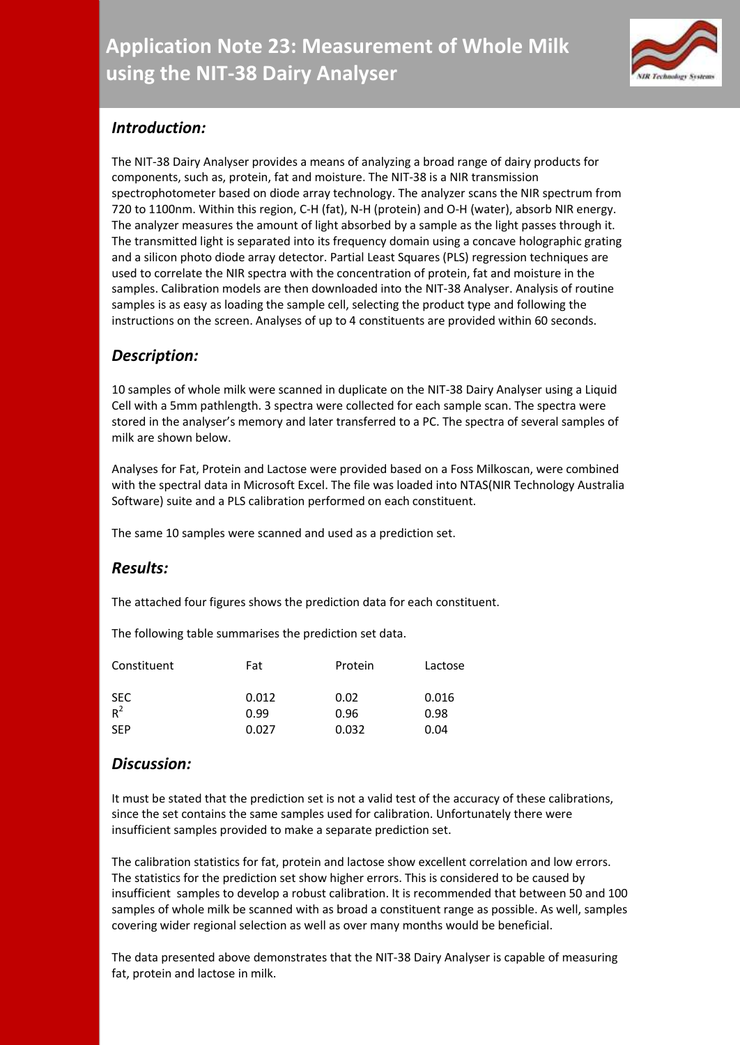

# *Introduction:*

The NIT-38 Dairy Analyser provides a means of analyzing a broad range of dairy products for components, such as, protein, fat and moisture. The NIT-38 is a NIR transmission spectrophotometer based on diode array technology. The analyzer scans the NIR spectrum from 720 to 1100nm. Within this region, C-H (fat), N-H (protein) and O-H (water), absorb NIR energy. The analyzer measures the amount of light absorbed by a sample as the light passes through it. The transmitted light is separated into its frequency domain using a concave holographic grating and a silicon photo diode array detector. Partial Least Squares (PLS) regression techniques are used to correlate the NIR spectra with the concentration of protein, fat and moisture in the samples. Calibration models are then downloaded into the NIT-38 Analyser. Analysis of routine samples is as easy as loading the sample cell, selecting the product type and following the instructions on the screen. Analyses of up to 4 constituents are provided within 60 seconds.

# *Description:*

10 samples of whole milk were scanned in duplicate on the NIT-38 Dairy Analyser using a Liquid Cell with a 5mm pathlength. 3 spectra were collected for each sample scan. The spectra were stored in the analyser's memory and later transferred to a PC. The spectra of several samples of milk are shown below.

Analyses for Fat, Protein and Lactose were provided based on a Foss Milkoscan, were combined with the spectral data in Microsoft Excel. The file was loaded into NTAS(NIR Technology Australia Software) suite and a PLS calibration performed on each constituent.

The same 10 samples were scanned and used as a prediction set.

## *Results:*

The attached four figures shows the prediction data for each constituent.

The following table summarises the prediction set data.

| Constituent         | Fat   | Protein | Lactose |
|---------------------|-------|---------|---------|
| <b>SEC</b><br>$R^2$ | 0.012 | 0.02    | 0.016   |
|                     | 0.99  | 0.96    | 0.98    |
| <b>SEP</b>          | 0.027 | 0.032   | 0.04    |

## *Discussion:*

It must be stated that the prediction set is not a valid test of the accuracy of these calibrations, since the set contains the same samples used for calibration. Unfortunately there were insufficient samples provided to make a separate prediction set.

The calibration statistics for fat, protein and lactose show excellent correlation and low errors. The statistics for the prediction set show higher errors. This is considered to be caused by insufficient samples to develop a robust calibration. It is recommended that between 50 and 100 samples of whole milk be scanned with as broad a constituent range as possible. As well, samples covering wider regional selection as well as over many months would be beneficial.

The data presented above demonstrates that the NIT-38 Dairy Analyser is capable of measuring fat, protein and lactose in milk.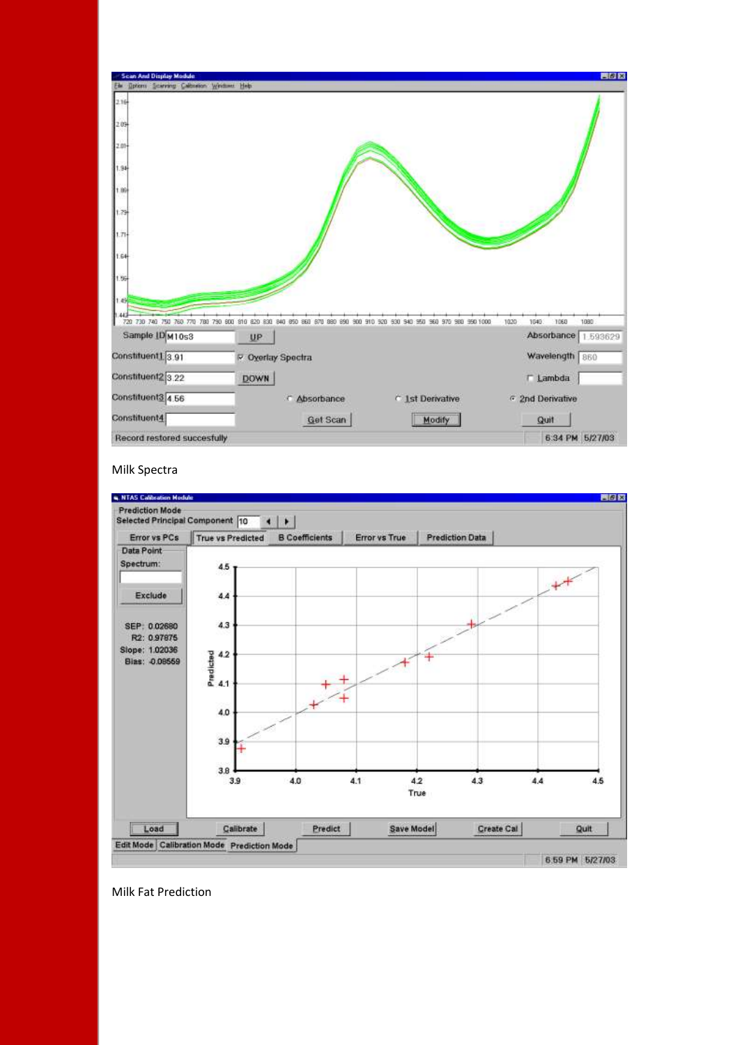

#### Milk Spectra



Milk Fat Prediction